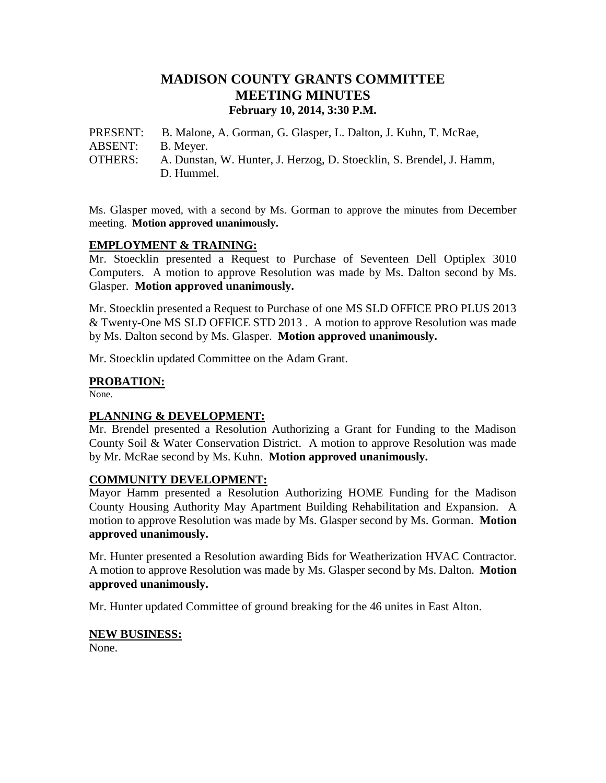# **MADISON COUNTY GRANTS COMMITTEE MEETING MINUTES February 10, 2014, 3:30 P.M.**

PRESENT: B. Malone, A. Gorman, G. Glasper, L. Dalton, J. Kuhn, T. McRae, ABSENT: B. Meyer. OTHERS: A. Dunstan, W. Hunter, J. Herzog, D. Stoecklin, S. Brendel, J. Hamm, D. Hummel.

Ms. Glasper moved, with a second by Ms. Gorman to approve the minutes from December meeting. **Motion approved unanimously.**

## **EMPLOYMENT & TRAINING:**

Mr. Stoecklin presented a Request to Purchase of Seventeen Dell Optiplex 3010 Computers. A motion to approve Resolution was made by Ms. Dalton second by Ms. Glasper. **Motion approved unanimously.**

Mr. Stoecklin presented a Request to Purchase of one MS SLD OFFICE PRO PLUS 2013 & Twenty-One MS SLD OFFICE STD 2013 . A motion to approve Resolution was made by Ms. Dalton second by Ms. Glasper. **Motion approved unanimously.**

Mr. Stoecklin updated Committee on the Adam Grant.

## **PROBATION:**

None.

### **PLANNING & DEVELOPMENT:**

Mr. Brendel presented a Resolution Authorizing a Grant for Funding to the Madison County Soil & Water Conservation District. A motion to approve Resolution was made by Mr. McRae second by Ms. Kuhn. **Motion approved unanimously.**

### **COMMUNITY DEVELOPMENT:**

Mayor Hamm presented a Resolution Authorizing HOME Funding for the Madison County Housing Authority May Apartment Building Rehabilitation and Expansion. A motion to approve Resolution was made by Ms. Glasper second by Ms. Gorman. **Motion approved unanimously.**

Mr. Hunter presented a Resolution awarding Bids for Weatherization HVAC Contractor. A motion to approve Resolution was made by Ms. Glasper second by Ms. Dalton. **Motion approved unanimously.**

Mr. Hunter updated Committee of ground breaking for the 46 unites in East Alton.

#### **NEW BUSINESS:**

None.